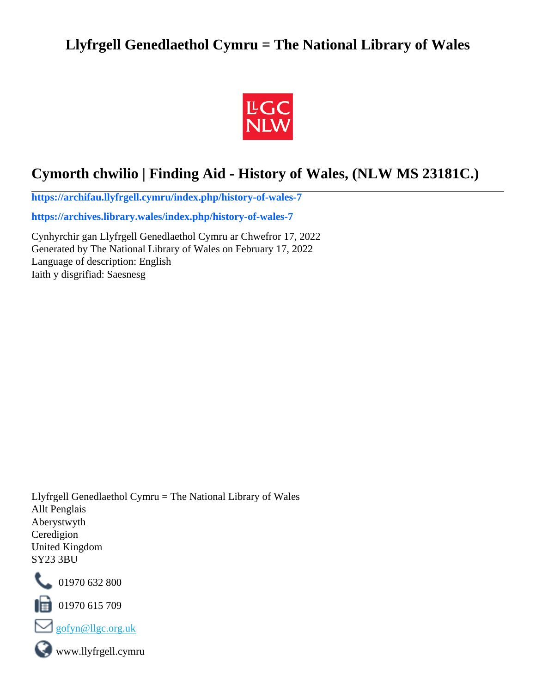## **Llyfrgell Genedlaethol Cymru = The National Library of Wales**



# **Cymorth chwilio | Finding Aid - History of Wales, (NLW MS 23181C.)**

**[https://archifau.llyfrgell.cymru/index.php/history-of-wales-7](https://archifau.llyfrgell.cymru/index.php/history-of-wales-7;isad?sf_culture=cy)**

**[https://archives.library.wales/index.php/history-of-wales-7](https://archives.library.wales/index.php/history-of-wales-7;isad?sf_culture=en)**

Cynhyrchir gan Llyfrgell Genedlaethol Cymru ar Chwefror 17, 2022 Generated by The National Library of Wales on February 17, 2022 Language of description: English Iaith y disgrifiad: Saesnesg

Llyfrgell Genedlaethol Cymru = The National Library of Wales Allt Penglais Aberystwyth Ceredigion United Kingdom SY23 3BU



101970 632 800

 $\Box$  01970 615 709



www.llyfrgell.cymru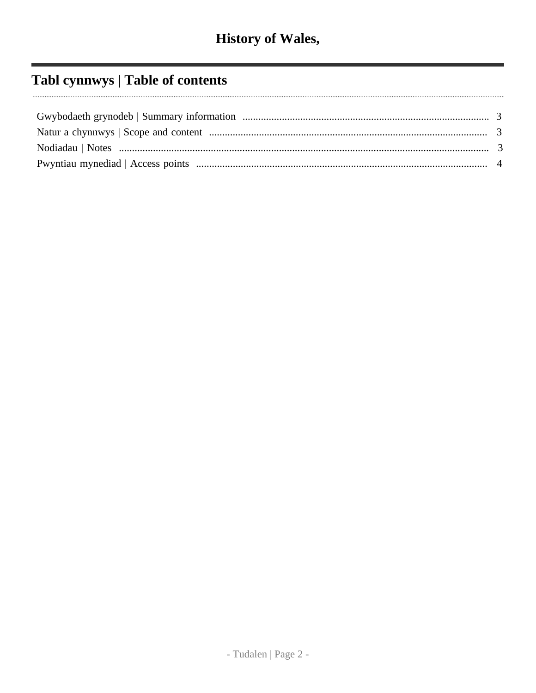# Tabl cynnwys | Table of contents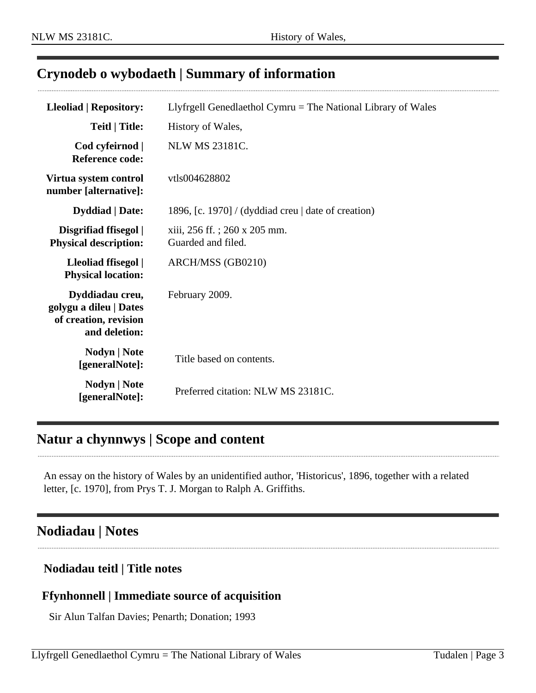## <span id="page-2-0"></span>**Crynodeb o wybodaeth | Summary of information**

| <b>Lleoliad   Repository:</b>                                                       | Llyfrgell Genedlaethol Cymru = The National Library of Wales |
|-------------------------------------------------------------------------------------|--------------------------------------------------------------|
| <b>Teitl   Title:</b>                                                               | History of Wales,                                            |
| Cod cyfeirnod  <br><b>Reference code:</b>                                           | <b>NLW MS 23181C.</b>                                        |
| Virtua system control<br>number [alternative]:                                      | vtls004628802                                                |
| <b>Dyddiad</b>   Date:                                                              | 1896, [c. 1970] / (dyddiad creu $\vert$ date of creation)    |
| Disgrifiad ffisegol  <br><b>Physical description:</b>                               | xiii, 256 ff.; 260 x 205 mm.<br>Guarded and filed.           |
| Lleoliad ffisegol  <br><b>Physical location:</b>                                    | ARCH/MSS (GB0210)                                            |
| Dyddiadau creu,<br>golygu a dileu   Dates<br>of creation, revision<br>and deletion: | February 2009.                                               |
| <b>Nodyn</b>   <b>Note</b><br>[generalNote]:                                        | Title based on contents.                                     |
| Nodyn   Note<br>[generalNote]:                                                      | Preferred citation: NLW MS 23181C.                           |

## <span id="page-2-1"></span>**Natur a chynnwys | Scope and content**

An essay on the history of Wales by an unidentified author, 'Historicus', 1896, together with a related letter, [c. 1970], from Prys T. J. Morgan to Ralph A. Griffiths.

## <span id="page-2-2"></span>**Nodiadau | Notes**

#### **Nodiadau teitl | Title notes**

#### **Ffynhonnell | Immediate source of acquisition**

Sir Alun Talfan Davies; Penarth; Donation; 1993